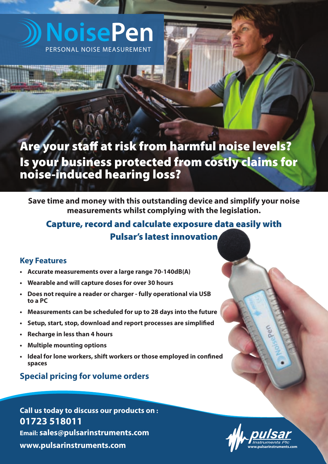# **NoisePen** PERSONAL NOISE MEASUREMENT

# **Are your staff at risk from harmful noise levels? Is your business protected from costly claims for noise-induced hearing loss?**

**Save time and money with this outstanding device and simplify your noise measurements whilst complying with the legislation.** 

# **Capture, record and calculate exposure data easily with Pulsar's latest innovation**

# **Key Features**

- **Accurate measurements over a large range 70-140dB(A)**
- **Wearable and will capture doses for over 30 hours**
- **Does not require a reader or charger fully operational via USB to a PC**
- **Measurements can be scheduled for up to 28 days into the future**
- **Setup, start, stop, download and report processes are simplified**
- **Recharge in less than 4 hours**
- **Multiple mounting options**
- **Ideal for lone workers, shift workers or those employed in confined spaces**

# **Special pricing for volume orders**

**Call us today to discuss our products on : 01723 518011 Email: [sales@pulsarinstruments.com](mailto:sales@pulsarinstruments.com) [www.pulsarinstruments.com](http://www.pulsarinstruments.com) [www.pulsarinstruments.com](http://www.pulsarinstruments.com)**